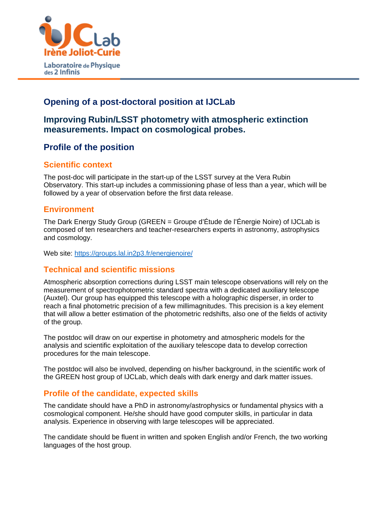

# **Opening of a post-doctoral position at IJCLab**

# **Improving Rubin/LSST photometry with atmospheric extinction measurements. Impact on cosmological probes.**

# **Profile of the position**

### **Scientific context**

The post-doc will participate in the start-up of the LSST survey at the Vera Rubin Observatory. This start-up includes a commissioning phase of less than a year, which will be followed by a year of observation before the first data release.

### **Environment**

The Dark Energy Study Group (GREEN = Groupe d'Étude de l'Énergie Noire) of IJCLab is composed of ten researchers and teacher-researchers experts in astronomy, astrophysics and cosmology.

Web site: https://groups.lal.in2p3.fr/energienoire/

### **Technical and scientific missions**

Atmospheric absorption corrections during LSST main telescope observations will rely on the measurement of spectrophotometric standard spectra with a dedicated auxiliary telescope (Auxtel). Our group has equipped this telescope with a holographic disperser, in order to reach a final photometric precision of a few millimagnitudes. This precision is a key element that will allow a better estimation of the photometric redshifts, also one of the fields of activity of the group.

The postdoc will draw on our expertise in photometry and atmospheric models for the analysis and scientific exploitation of the auxiliary telescope data to develop correction procedures for the main telescope.

The postdoc will also be involved, depending on his/her background, in the scientific work of the GREEN host group of IJCLab, which deals with dark energy and dark matter issues.

### **Profile of the candidate, expected skills**

The candidate should have a PhD in astronomy/astrophysics or fundamental physics with a cosmological component. He/she should have good computer skills, in particular in data analysis. Experience in observing with large telescopes will be appreciated.

The candidate should be fluent in written and spoken English and/or French, the two working languages of the host group.